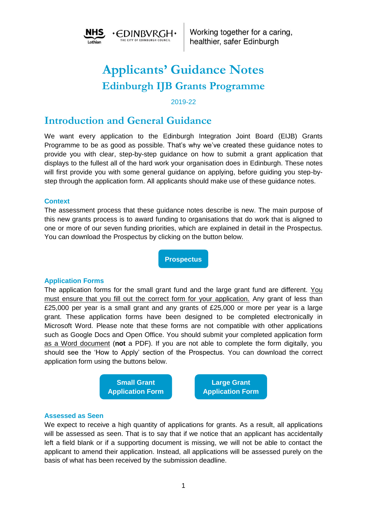

# **Applicants' Guidance Notes Edinburgh IJB Grants Programme**

#### 2019-22

## **Introduction and General Guidance**

We want every application to the Edinburgh Integration Joint Board (EIJB) Grants Programme to be as good as possible. That's why we've created these guidance notes to provide you with clear, step-by-step guidance on how to submit a grant application that displays to the fullest all of the hard work your organisation does in Edinburgh. These notes will first provide you with some general guidance on applying, before guiding you step-bystep through the application form. All applicants should make use of these guidance notes.

#### **Context**

The assessment process that these guidance notes describe is new. The main purpose of this new grants process is to award funding to organisations that do work that is aligned to one or more of our seven funding priorities, which are explained in detail in the Prospectus. You can download the Prospectus by clicking on the button below.

**[Prospectus](http://rebrand.ly/dfd97/)**

#### **Application Forms**

The application forms for the small grant fund and the large grant fund are different. You must ensure that you fill out the correct form for your application. Any grant of less than £25,000 per year is a small grant and any grants of £25,000 or more per year is a large grant. These application forms have been designed to be completed electronically in Microsoft Word. Please note that these forms are not compatible with other applications such as Google Docs and Open Office. You should submit your completed application form as a Word document (**not** a PDF). If you are not able to complete the form digitally, you should see the 'How to Apply' section of the Prospectus. You can download the correct application form using the buttons below.



#### **Assessed as Seen**

We expect to receive a high quantity of applications for grants. As a result, all applications will be assessed as seen. That is to say that if we notice that an applicant has accidentally left a field blank or if a supporting document is missing, we will not be able to contact the applicant to amend their application. Instead, all applications will be assessed purely on the basis of what has been received by the submission deadline.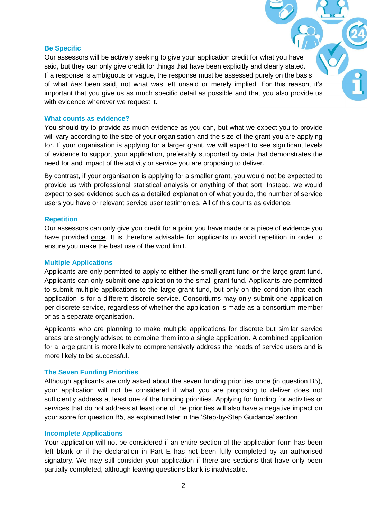#### **Be Specific**

Our assessors will be actively seeking to give your application credit for what you have said, but they can only give credit for things that have been explicitly and clearly stated. If a response is ambiguous or vague, the response must be assessed purely on the basis of what *has* been said, not what was left unsaid or merely implied. For this reason, it's important that you give us as much specific detail as possible and that you also provide us with evidence wherever we request it.

#### **What counts as evidence?**

You should try to provide as much evidence as you can, but what we expect you to provide will vary according to the size of your organisation and the size of the grant you are applying for. If your organisation is applying for a larger grant, we will expect to see significant levels of evidence to support your application, preferably supported by data that demonstrates the need for and impact of the activity or service you are proposing to deliver.

By contrast, if your organisation is applying for a smaller grant, you would not be expected to provide us with professional statistical analysis or anything of that sort. Instead, we would expect to see evidence such as a detailed explanation of what you do, the number of service users you have or relevant service user testimonies. All of this counts as evidence.

#### **Repetition**

Our assessors can only give you credit for a point you have made or a piece of evidence you have provided once. It is therefore advisable for applicants to avoid repetition in order to ensure you make the best use of the word limit.

#### **Multiple Applications**

Applicants are only permitted to apply to **either** the small grant fund **or** the large grant fund. Applicants can only submit **one** application to the small grant fund. Applicants are permitted to submit multiple applications to the large grant fund, but only on the condition that each application is for a different discrete service. Consortiums may only submit one application per discrete service, regardless of whether the application is made as a consortium member or as a separate organisation.

Applicants who are planning to make multiple applications for discrete but similar service areas are strongly advised to combine them into a single application. A combined application for a large grant is more likely to comprehensively address the needs of service users and is more likely to be successful.

#### **The Seven Funding Priorities**

Although applicants are only asked about the seven funding priorities once (in question B5), your application will not be considered if what you are proposing to deliver does not sufficiently address at least one of the funding priorities. Applying for funding for activities or services that do not address at least one of the priorities will also have a negative impact on your score for question B5, as explained later in the 'Step-by-Step Guidance' section.

#### **Incomplete Applications**

Your application will not be considered if an entire section of the application form has been left blank or if the declaration in Part E has not been fully completed by an authorised signatory. We may still consider your application if there are sections that have only been partially completed, although leaving questions blank is inadvisable.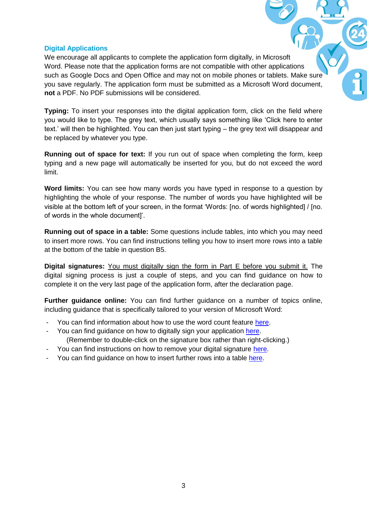## **Digital Applications**

We encourage all applicants to complete the application form digitally, in Microsoft Word. Please note that the application forms are not compatible with other applications such as Google Docs and Open Office and may not on mobile phones or tablets. Make sure you save regularly. The application form must be submitted as a Microsoft Word document, **not** a PDF. No PDF submissions will be considered.

**Typing:** To insert your responses into the digital application form, click on the field where you would like to type. The grey text, which usually says something like 'Click here to enter text.' will then be highlighted. You can then just start typing – the grey text will disappear and be replaced by whatever you type.

**Running out of space for text:** If you run out of space when completing the form, keep typing and a new page will automatically be inserted for you, but do not exceed the word limit.

**Word limits:** You can see how many words you have typed in response to a question by highlighting the whole of your response. The number of words you have highlighted will be visible at the bottom left of your screen, in the format 'Words: [no. of words highlighted] / [no. of words in the whole document]'.

**Running out of space in a table:** Some questions include tables, into which you may need to insert more rows. You can find instructions telling you how to insert more rows into a table at the bottom of the table in question B5.

**Digital signatures:** You must digitally sign the form in Part E before you submit it. The digital signing process is just a couple of steps, and you can find guidance on how to complete it on the very last page of the application form, after the declaration page.

**Further guidance online:** You can find further guidance on a number of topics online, including guidance that is specifically tailored to your version of Microsoft Word:

- You can find information about how to use the word count feature [here.](https://support.office.com/en-us/article/show-word-count-3c9e6a11-a04d-43b4-977c-563a0e0d5da3)
- You can find guidance on how to digitally sign your application [here.](https://support.office.com/en-us/article/add-or-remove-a-digital-signature-in-office-files-70d26dc9-be10-46f1-8efa-719c8b3f1a2d#__toc311526846) (Remember to double-click on the signature box rather than right-clicking.)
- You can find instructions on how to remove your digital signature [here.](https://support.office.com/en-us/article/add-or-remove-a-digital-signature-in-office-files-70d26dc9-be10-46f1-8efa-719c8b3f1a2d#__toc311526847)
- You can find guidance on how to insert further rows into a table [here.](https://support.office.com/en-us/article/add-a-cell-row-or-column-to-a-table-b030ef77-f219-4998-868b-ba85534867f1#bm2)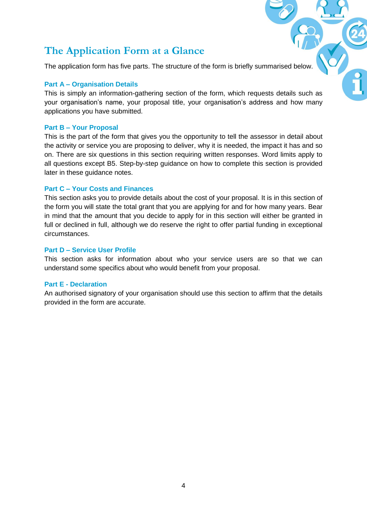## **The Application Form at a Glance**

The application form has five parts. The structure of the form is briefly summarised belo

## **Part A – Organisation Details**

This is simply an information-gathering section of the form, which requests details such as your organisation's name, your proposal title, your organisation's address and how many applications you have submitted.

#### **Part B – Your Proposal**

This is the part of the form that gives you the opportunity to tell the assessor in detail about the activity or service you are proposing to deliver, why it is needed, the impact it has and so on. There are six questions in this section requiring written responses. Word limits apply to all questions except B5. Step-by-step guidance on how to complete this section is provided later in these guidance notes.

### **Part C – Your Costs and Finances**

This section asks you to provide details about the cost of your proposal. It is in this section of the form you will state the total grant that you are applying for and for how many years. Bear in mind that the amount that you decide to apply for in this section will either be granted in full or declined in full, although we do reserve the right to offer partial funding in exceptional circumstances.

#### **Part D – Service User Profile**

This section asks for information about who your service users are so that we can understand some specifics about who would benefit from your proposal.

#### **Part E - Declaration**

An authorised signatory of your organisation should use this section to affirm that the details provided in the form are accurate.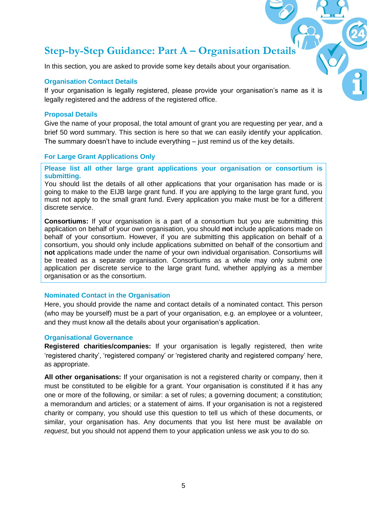# **Step-by-Step Guidance: Part A – Organisation Details**

In this section, you are asked to provide some key details about your organisation.

#### **Organisation Contact Details**

If your organisation is legally registered, please provide your organisation's name as it is legally registered and the address of the registered office.

#### **Proposal Details**

Give the name of your proposal, the total amount of grant you are requesting per year, and a brief 50 word summary. This section is here so that we can easily identify your application. The summary doesn't have to include everything – just remind us of the key details.

#### **For Large Grant Applications Only**

**Please list all other large grant applications your organisation or consortium is submitting.** 

You should list the details of all other applications that your organisation has made or is going to make to the EIJB large grant fund. If you are applying to the large grant fund, you must not apply to the small grant fund. Every application you make must be for a different discrete service.

**Consortiums:** If your organisation is a part of a consortium but you are submitting this application on behalf of your own organisation, you should **not** include applications made on behalf of your consortium. However, if you are submitting this application on behalf of a consortium, you should only include applications submitted on behalf of the consortium and **not** applications made under the name of your own individual organisation. Consortiums will be treated as a separate organisation. Consortiums as a whole may only submit one application per discrete service to the large grant fund, whether applying as a member organisation or as the consortium.

#### **Nominated Contact in the Organisation**

Here, you should provide the name and contact details of a nominated contact. This person (who may be yourself) must be a part of your organisation, e.g. an employee or a volunteer, and they must know all the details about your organisation's application.

#### **Organisational Governance**

**Registered charities/companies:** If your organisation is legally registered, then write 'registered charity', 'registered company' or 'registered charity and registered company' here, as appropriate.

**All other organisations:** If your organisation is not a registered charity or company, then it must be constituted to be eligible for a grant. Your organisation is constituted if it has any one or more of the following, or similar: a set of rules; a governing document; a constitution; a memorandum and articles; or a statement of aims. If your organisation is not a registered charity or company, you should use this question to tell us which of these documents, or similar, your organisation has. Any documents that you list here must be available *on request*, but you should not append them to your application unless we ask you to do so.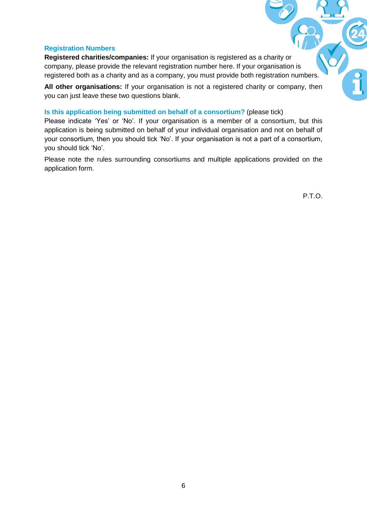#### **Registration Numbers**

**Registered charities/companies:** If your organisation is registered as a charity or company, please provide the relevant registration number here. If your organisation is registered both as a charity and as a company, you must provide both registration numbers.

**All other organisations:** If your organisation is not a registered charity or company, then you can just leave these two questions blank.

#### **Is this application being submitted on behalf of a consortium?** (please tick)

Please indicate 'Yes' or 'No'. If your organisation is a member of a consortium, but this application is being submitted on behalf of your individual organisation and not on behalf of your consortium, then you should tick 'No'. If your organisation is not a part of a consortium, you should tick 'No'.

Please note the rules surrounding consortiums and multiple applications provided on the application form.

P.T.O.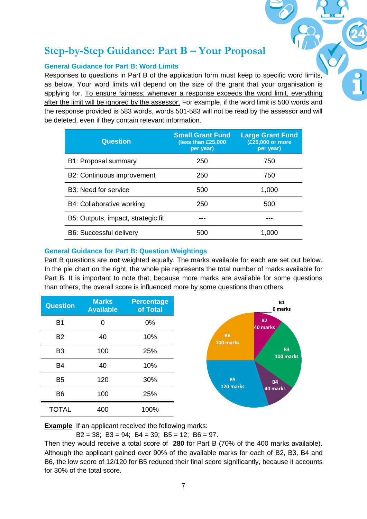# **Step-by-Step Guidance: Part B – Your Proposal**

## **General Guidance for Part B: Word Limits**

Responses to questions in Part B of the application form must keep to specific word limits, as below. Your word limits will depend on the size of the grant that your organisation is applying for. To ensure fairness, whenever a response exceeds the word limit, everything after the limit will be ignored by the assessor. For example, if the word limit is 500 words and the response provided is 583 words, words 501-583 will not be read by the assessor and will be deleted, even if they contain relevant information.

| <b>Question</b>                    | <b>Small Grant Fund</b><br>(less than $£25,000$<br>per year) | <b>Large Grant Fund</b><br>(£25,000 or more<br>per year) |
|------------------------------------|--------------------------------------------------------------|----------------------------------------------------------|
| B1: Proposal summary               | 250                                                          | 750                                                      |
| B2: Continuous improvement         | 250                                                          | 750                                                      |
| B3: Need for service               | 500                                                          | 1,000                                                    |
| B4: Collaborative working          | 250                                                          | 500                                                      |
| B5: Outputs, impact, strategic fit |                                                              |                                                          |
| <b>B6: Successful delivery</b>     | 500                                                          | 1,000                                                    |

## **General Guidance for Part B: Question Weightings**

Part B questions are **not** weighted equally. The marks available for each are set out below. In the pie chart on the right, the whole pie represents the total number of marks available for Part B. It is important to note that, because more marks are available for some questions than others, the overall score is influenced more by some questions than others.

| <b>Question</b> | <b>Marks</b><br><b>Available</b> | <b>Percentage</b><br>of Total |
|-----------------|----------------------------------|-------------------------------|
| <b>B1</b>       | 0                                | 0%                            |
| <b>B2</b>       | 40                               | 10%                           |
| B <sub>3</sub>  | 100                              | 25%                           |
| <b>B4</b>       | 40                               | 10%                           |
| B <sub>5</sub>  | 120                              | 30%                           |
| B <sub>6</sub>  | 100                              | 25%                           |
| <b>TOTAL</b>    | 400                              | 100%                          |

**Example** If an applicant received the following marks:

 $B2 = 38$ ;  $B3 = 94$ ;  $B4 = 39$ ;  $B5 = 12$ ;  $B6 = 97$ .

Then they would receive a total score of **280** for Part B (70% of the 400 marks available). Although the applicant gained over 90% of the available marks for each of B2, B3, B4 and B6, the low score of 12/120 for B5 reduced their final score significantly, because it accounts for 30% of the total score.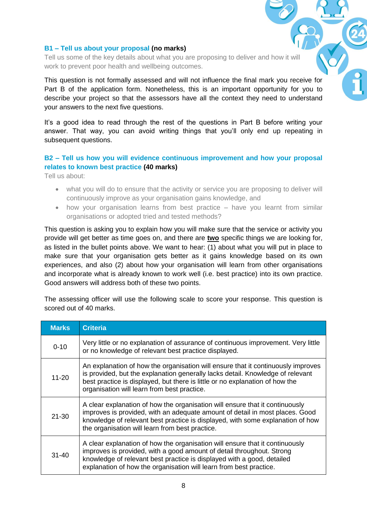#### **B1 – Tell us about your proposal (no marks)**

Tell us some of the key details about what you are proposing to deliver and how it will work to prevent poor health and wellbeing outcomes.

This question is not formally assessed and will not influence the final mark you receive for Part B of the application form. Nonetheless, this is an important opportunity for you to describe your project so that the assessors have all the context they need to understand your answers to the next five questions.

It's a good idea to read through the rest of the questions in Part B before writing your answer. That way, you can avoid writing things that you'll only end up repeating in subsequent questions.

## **B2 – Tell us how you will evidence continuous improvement and how your proposal relates to known best practice (40 marks)**

Tell us about:

- what you will do to ensure that the activity or service you are proposing to deliver will continuously improve as your organisation gains knowledge, and
- how your organisation learns from best practice have you learnt from similar organisations or adopted tried and tested methods?

This question is asking you to explain how you will make sure that the service or activity you provide will get better as time goes on, and there are **two** specific things we are looking for, as listed in the bullet points above. We want to hear: (1) about what you will put in place to make sure that your organisation gets better as it gains knowledge based on its own experiences, and also (2) about how your organisation will learn from other organisations and incorporate what is already known to work well (i.e. best practice) into its own practice. Good answers will address both of these two points.

The assessing officer will use the following scale to score your response. This question is scored out of 40 marks.

| <b>Marks</b> | <b>Criteria</b>                                                                                                                                                                                                                                                                                       |
|--------------|-------------------------------------------------------------------------------------------------------------------------------------------------------------------------------------------------------------------------------------------------------------------------------------------------------|
| $0 - 10$     | Very little or no explanation of assurance of continuous improvement. Very little<br>or no knowledge of relevant best practice displayed.                                                                                                                                                             |
| $11 - 20$    | An explanation of how the organisation will ensure that it continuously improves<br>is provided, but the explanation generally lacks detail. Knowledge of relevant<br>best practice is displayed, but there is little or no explanation of how the<br>organisation will learn from best practice.     |
| $21 - 30$    | A clear explanation of how the organisation will ensure that it continuously<br>improves is provided, with an adequate amount of detail in most places. Good<br>knowledge of relevant best practice is displayed, with some explanation of how<br>the organisation will learn from best practice.     |
| $31 - 40$    | A clear explanation of how the organisation will ensure that it continuously<br>improves is provided, with a good amount of detail throughout. Strong<br>knowledge of relevant best practice is displayed with a good, detailed<br>explanation of how the organisation will learn from best practice. |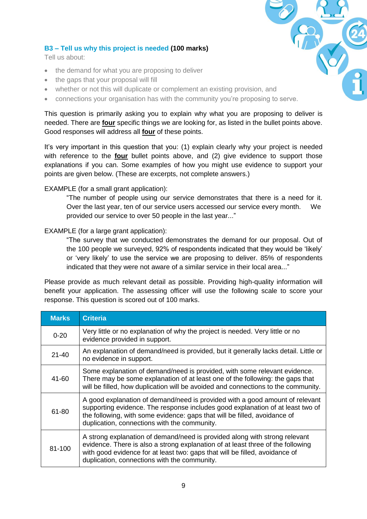### **B3 – Tell us why this project is needed (100 marks)**

Tell us about:

- the demand for what you are proposing to deliver
- the gaps that your proposal will fill
- whether or not this will duplicate or complement an existing provision, and
- connections your organisation has with the community you're proposing to serve.

This question is primarily asking you to explain why what you are proposing to deliver is needed. There are **four** specific things we are looking for, as listed in the bullet points above. Good responses will address all **four** of these points.

It's very important in this question that you: (1) explain clearly why your project is needed with reference to the **four** bullet points above, and (2) give evidence to support those explanations if you can. Some examples of how you might use evidence to support your points are given below. (These are excerpts, not complete answers.)

#### EXAMPLE (for a small grant application):

"The number of people using our service demonstrates that there is a need for it. Over the last year, ten of our service users accessed our service every month. We provided our service to over 50 people in the last year..."

#### EXAMPLE (for a large grant application):

"The survey that we conducted demonstrates the demand for our proposal. Out of the 100 people we surveyed, 92% of respondents indicated that they would be 'likely' or 'very likely' to use the service we are proposing to deliver. 85% of respondents indicated that they were not aware of a similar service in their local area..."

Please provide as much relevant detail as possible. Providing high-quality information will benefit your application. The assessing officer will use the following scale to score your response. This question is scored out of 100 marks.

| <b>Marks</b> | <b>Criteria</b>                                                                                                                                                                                                                                                                              |
|--------------|----------------------------------------------------------------------------------------------------------------------------------------------------------------------------------------------------------------------------------------------------------------------------------------------|
| $0 - 20$     | Very little or no explanation of why the project is needed. Very little or no<br>evidence provided in support.                                                                                                                                                                               |
| $21 - 40$    | An explanation of demand/need is provided, but it generally lacks detail. Little or<br>no evidence in support.                                                                                                                                                                               |
| 41-60        | Some explanation of demand/need is provided, with some relevant evidence.<br>There may be some explanation of at least one of the following: the gaps that<br>will be filled, how duplication will be avoided and connections to the community.                                              |
| 61-80        | A good explanation of demand/need is provided with a good amount of relevant<br>supporting evidence. The response includes good explanation of at least two of<br>the following, with some evidence: gaps that will be filled, avoidance of<br>duplication, connections with the community.  |
| 81-100       | A strong explanation of demand/need is provided along with strong relevant<br>evidence. There is also a strong explanation of at least three of the following<br>with good evidence for at least two: gaps that will be filled, avoidance of<br>duplication, connections with the community. |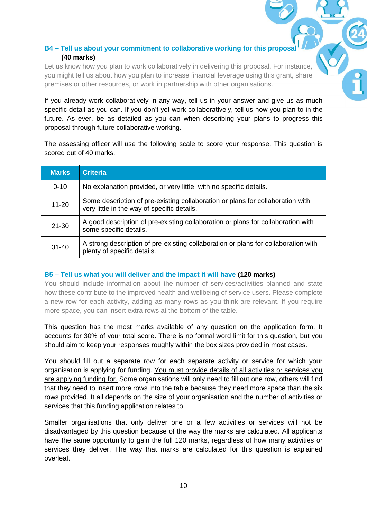## **B4 – Tell us about your commitment to collaborative working for this proposal (40 marks)**

Let us know how you plan to work collaboratively in delivering this proposal. For instance you might tell us about how you plan to increase financial leverage using this grant, share premises or other resources, or work in partnership with other organisations.

If you already work collaboratively in any way, tell us in your answer and give us as much specific detail as you can. If you don't yet work collaboratively, tell us how you plan to in the future. As ever, be as detailed as you can when describing your plans to progress this proposal through future collaborative working.

The assessing officer will use the following scale to score your response. This question is scored out of 40 marks.

| <b>Marks</b> | <b>Criteria</b>                                                                                                               |
|--------------|-------------------------------------------------------------------------------------------------------------------------------|
| $0 - 10$     | No explanation provided, or very little, with no specific details.                                                            |
| $11 - 20$    | Some description of pre-existing collaboration or plans for collaboration with<br>very little in the way of specific details. |
| $21 - 30$    | A good description of pre-existing collaboration or plans for collaboration with<br>some specific details.                    |
| $31 - 40$    | A strong description of pre-existing collaboration or plans for collaboration with<br>plenty of specific details.             |

## **B5 – Tell us what you will deliver and the impact it will have (120 marks)**

You should include information about the number of services/activities planned and state how these contribute to the improved health and wellbeing of service users. Please complete a new row for each activity, adding as many rows as you think are relevant. If you require more space, you can insert extra rows at the bottom of the table.

This question has the most marks available of any question on the application form. It accounts for 30% of your total score. There is no formal word limit for this question, but you should aim to keep your responses roughly within the box sizes provided in most cases.

You should fill out a separate row for each separate activity or service for which your organisation is applying for funding. You must provide details of all activities or services you are applying funding for. Some organisations will only need to fill out one row, others will find that they need to insert more rows into the table because they need more space than the six rows provided. It all depends on the size of your organisation and the number of activities or services that this funding application relates to.

Smaller organisations that only deliver one or a few activities or services will not be disadvantaged by this question because of the way the marks are calculated. All applicants have the same opportunity to gain the full 120 marks, regardless of how many activities or services they deliver. The way that marks are calculated for this question is explained overleaf.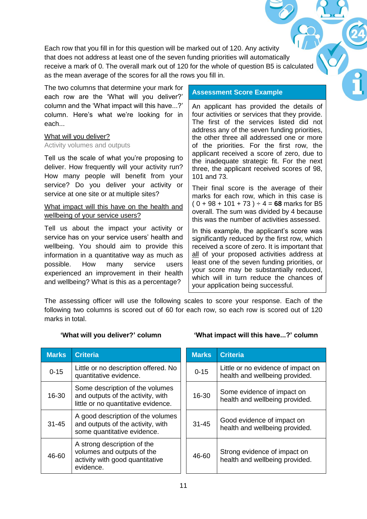Each row that you fill in for this question will be marked out of 120. Any activity that does not address at least one of the seven funding priorities will automatically receive a mark of 0. The overall mark out of 120 for the whole of question B5 is calculated as the mean average of the scores for all the rows you fill in.

The two columns that determine your mark for each row are the 'What will you deliver?' column and the 'What impact will this have...?' column. Here's what we're looking for in each...

#### What will you deliver?

#### Activity volumes and outputs

Tell us the scale of what you're proposing to deliver. How frequently will your activity run? How many people will benefit from your service? Do you deliver your activity or service at one site or at multiple sites?

## What impact will this have on the health and wellbeing of your service users?

Tell us about the impact your activity or service has on your service users' health and wellbeing. You should aim to provide this information in a quantitative way as much as possible. How many service users experienced an improvement in their health and wellbeing? What is this as a percentage?

### **Assessment Score Example**

An applicant has provided the details of four activities or services that they provide. The first of the services listed did not address any of the seven funding priorities, the other three all addressed one or more of the priorities. For the first row, the applicant received a score of zero, due to the inadequate strategic fit. For the next three, the applicant received scores of 98, 101 and 73.

Their final score is the average of their marks for each row, which in this case is  $(0 + 98 + 101 + 73) \div 4 = 68$  marks for B5 overall. The sum was divided by 4 because this was the number of activities assessed.

In this example, the applicant's score was significantly reduced by the first row, which received a score of zero. It is important that all of your proposed activities address at least one of the seven funding priorities, or your score may be substantially reduced, which will in turn reduce the chances of your application being successful.

The assessing officer will use the following scales to score your response. Each of the following two columns is scored out of 60 for each row, so each row is scored out of 120 marks in total.

## **'What will you deliver?' column**

| <b>Marks</b> | <b>Criteria</b>                                                                                             |
|--------------|-------------------------------------------------------------------------------------------------------------|
| $0 - 15$     | Little or no description offered. No<br>quantitative evidence.                                              |
| 16-30        | Some description of the volumes<br>and outputs of the activity, with<br>little or no quantitative evidence. |
| $31 - 45$    | A good description of the volumes<br>and outputs of the activity, with<br>some quantitative evidence.       |
| 46-60        | A strong description of the<br>volumes and outputs of the<br>activity with good quantitative<br>evidence.   |

#### **'What impact will this have...?' column**

| <b>Marks</b> | <b>Criteria</b>                                                      |
|--------------|----------------------------------------------------------------------|
| $0 - 15$     | Little or no evidence of impact on<br>health and wellbeing provided. |
| 16-30        | Some evidence of impact on<br>health and wellbeing provided.         |
| $31 - 45$    | Good evidence of impact on<br>health and wellbeing provided.         |
| 46-60        | Strong evidence of impact on<br>health and wellbeing provided.       |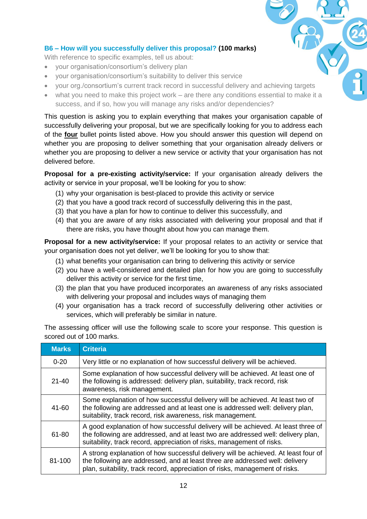## **B6 – How will you successfully deliver this proposal? (100 marks)**

With reference to specific examples, tell us about:

- your organisation/consortium's delivery plan
- your organisation/consortium's suitability to deliver this service
- your org./consortium's current track record in successful delivery and achieving targets
- what you need to make this project work are there any conditions essential to make it a success, and if so, how you will manage any risks and/or dependencies?

This question is asking you to explain everything that makes your organisation capable of successfully delivering your proposal, but we are specifically looking for you to address each of the **four** bullet points listed above. How you should answer this question will depend on whether you are proposing to deliver something that your organisation already delivers or whether you are proposing to deliver a new service or activity that your organisation has not delivered before.

**Proposal for a pre-existing activity/service:** If your organisation already delivers the activity or service in your proposal, we'll be looking for you to show:

- (1) why your organisation is best-placed to provide this activity or service
- (2) that you have a good track record of successfully delivering this in the past,
- (3) that you have a plan for how to continue to deliver this successfully, and
- (4) that you are aware of any risks associated with delivering your proposal and that if there are risks, you have thought about how you can manage them.

**Proposal for a new activity/service:** If your proposal relates to an activity or service that your organisation does not yet deliver, we'll be looking for you to show that:

- (1) what benefits your organisation can bring to delivering this activity or service
- (2) you have a well-considered and detailed plan for how you are going to successfully deliver this activity or service for the first time,
- (3) the plan that you have produced incorporates an awareness of any risks associated with delivering your proposal and includes ways of managing them
- (4) your organisation has a track record of successfully delivering other activities or services, which will preferably be similar in nature.

The assessing officer will use the following scale to score your response. This question is scored out of 100 marks.

| <b>Marks</b> | <b>Criteria</b>                                                                                                                                                                                                                                    |
|--------------|----------------------------------------------------------------------------------------------------------------------------------------------------------------------------------------------------------------------------------------------------|
| $0 - 20$     | Very little or no explanation of how successful delivery will be achieved.                                                                                                                                                                         |
| $21 - 40$    | Some explanation of how successful delivery will be achieved. At least one of<br>the following is addressed: delivery plan, suitability, track record, risk<br>awareness, risk management.                                                         |
| 41-60        | Some explanation of how successful delivery will be achieved. At least two of<br>the following are addressed and at least one is addressed well: delivery plan,<br>suitability, track record, risk awareness, risk management.                     |
| 61-80        | A good explanation of how successful delivery will be achieved. At least three of<br>the following are addressed, and at least two are addressed well: delivery plan,<br>suitability, track record, appreciation of risks, management of risks.    |
| 81-100       | A strong explanation of how successful delivery will be achieved. At least four of<br>the following are addressed, and at least three are addressed well: delivery<br>plan, suitability, track record, appreciation of risks, management of risks. |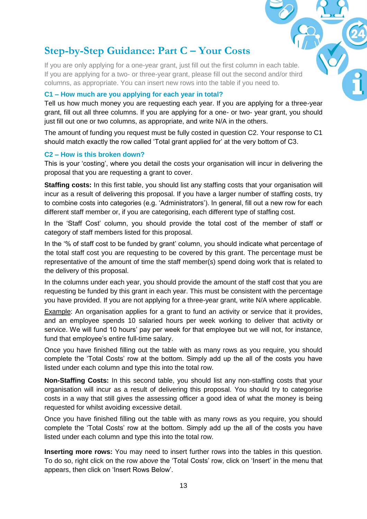# **Step-by-Step Guidance: Part C – Your Costs**

If you are only applying for a one-year grant, just fill out the first column in each table. If you are applying for a two- or three-year grant, please fill out the second and/or third columns, as appropriate. You can insert new rows into the table if you need to.

## **C1 – How much are you applying for each year in total?**

Tell us how much money you are requesting each year. If you are applying for a three-year grant, fill out all three columns. If you are applying for a one- or two- year grant, you should just fill out one or two columns, as appropriate, and write N/A in the others.

The amount of funding you request must be fully costed in question C2. Your response to C1 should match exactly the row called 'Total grant applied for' at the very bottom of C3.

## **C2 – How is this broken down?**

This is your 'costing', where you detail the costs your organisation will incur in delivering the proposal that you are requesting a grant to cover.

**Staffing costs:** In this first table, you should list any staffing costs that your organisation will incur as a result of delivering this proposal. If you have a larger number of staffing costs, try to combine costs into categories (e.g. 'Administrators'). In general, fill out a new row for each different staff member or, if you are categorising, each different type of staffing cost.

In the 'Staff Cost' column, you should provide the total cost of the member of staff or category of staff members listed for this proposal.

In the '% of staff cost to be funded by grant' column, you should indicate what percentage of the total staff cost you are requesting to be covered by this grant. The percentage must be representative of the amount of time the staff member(s) spend doing work that is related to the delivery of this proposal.

In the columns under each year, you should provide the amount of the staff cost that you are requesting be funded by this grant in each year. This must be consistent with the percentage you have provided. If you are not applying for a three-year grant, write N/A where applicable.

Example: An organisation applies for a grant to fund an activity or service that it provides, and an employee spends 10 salaried hours per week working to deliver that activity or service. We will fund 10 hours' pay per week for that employee but we will not, for instance, fund that employee's entire full-time salary.

Once you have finished filling out the table with as many rows as you require, you should complete the 'Total Costs' row at the bottom. Simply add up the all of the costs you have listed under each column and type this into the total row.

**Non-Staffing Costs:** In this second table, you should list any non-staffing costs that your organisation will incur as a result of delivering this proposal. You should try to categorise costs in a way that still gives the assessing officer a good idea of what the money is being requested for whilst avoiding excessive detail.

Once you have finished filling out the table with as many rows as you require, you should complete the 'Total Costs' row at the bottom. Simply add up the all of the costs you have listed under each column and type this into the total row.

**Inserting more rows:** You may need to insert further rows into the tables in this question. To do so, right click on the row *above* the 'Total Costs' row, click on 'Insert' in the menu that appears, then click on 'Insert Rows Below'.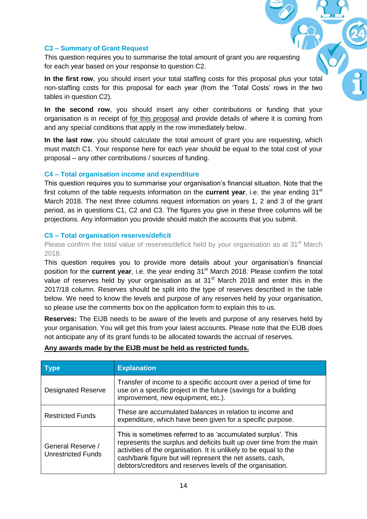#### **C3 – Summary of Grant Request**

This question requires you to summarise the total amount of grant you are requesting for each year based on your response to question C2.

**In the first row**, you should insert your total staffing costs for this proposal plus your total non-staffing costs for this proposal for each year (from the 'Total Costs' rows in the two tables in question C2).

**In the second row**, you should insert any other contributions or funding that your organisation is in receipt of for this proposal and provide details of where it is coming from and any special conditions that apply in the row immediately below.

**In the last row**, you should calculate the total amount of grant you are requesting, which must match C1. Your response here for each year should be equal to the total cost of your proposal – any other contributions / sources of funding.

#### **C4 – Total organisation income and expenditure**

This question requires you to summarise your organisation's financial situation. Note that the first column of the table requests information on the **current year**, i.e. the year ending 31<sup>st</sup> March 2018. The next three columns request information on years 1, 2 and 3 of the grant period, as in questions C1, C2 and C3. The figures you give in these three columns will be projections. Any information you provide should match the accounts that you submit.

#### **C5 – Total organisation reserves/deficit**

Please confirm the total value of reserves/deficit held by your organisation as at 31<sup>st</sup> March 2018.

This question requires you to provide more details about your organisation's financial position for the **current year**, i.e. the year ending 31<sup>st</sup> March 2018. Please confirm the total value of reserves held by your organisation as at 31<sup>st</sup> March 2018 and enter this in the 2017/18 column. Reserves should be split into the type of reserves described in the table below. We need to know the levels and purpose of any reserves held by your organisation, so please use the comments box on the application form to explain this to us.

**Reserves:** The EIJB needs to be aware of the levels and purpose of any reserves held by your organisation. You will get this from your latest accounts. Please note that the EIJB does not anticipate any of its grant funds to be allocated towards the accrual of reserves.

| <b>Type</b>                                    | <b>Explanation</b>                                                                                                                                                                                                                                                                                                                   |
|------------------------------------------------|--------------------------------------------------------------------------------------------------------------------------------------------------------------------------------------------------------------------------------------------------------------------------------------------------------------------------------------|
| <b>Designated Reserve</b>                      | Transfer of income to a specific account over a period of time for<br>use on a specific project in the future (savings for a building<br>improvement, new equipment, etc.).                                                                                                                                                          |
| <b>Restricted Funds</b>                        | These are accumulated balances in relation to income and<br>expenditure, which have been given for a specific purpose.                                                                                                                                                                                                               |
| General Reserve /<br><b>Unrestricted Funds</b> | This is sometimes referred to as 'accumulated surplus'. This<br>represents the surplus and deficits built up over time from the main<br>activities of the organisation. It is unlikely to be equal to the<br>cash/bank figure but will represent the net assets, cash,<br>debtors/creditors and reserves levels of the organisation. |

#### **Any awards made by the EIJB must be held as restricted funds.**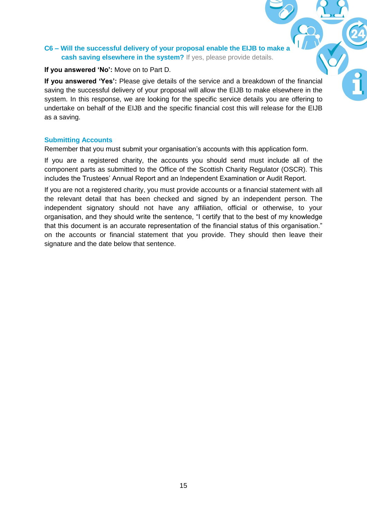## **C6 – Will the successful delivery of your proposal enable the EIJB to make a cash saving elsewhere in the system?** If yes, please provide details.

### **If you answered 'No':** Move on to Part D.

**If you answered 'Yes':** Please give details of the service and a breakdown of the financial saving the successful delivery of your proposal will allow the EIJB to make elsewhere in the system. In this response, we are looking for the specific service details you are offering to undertake on behalf of the EIJB and the specific financial cost this will release for the EIJB as a saving.

### **Submitting Accounts**

Remember that you must submit your organisation's accounts with this application form.

If you are a registered charity, the accounts you should send must include all of the component parts as submitted to the Office of the Scottish Charity Regulator (OSCR). This includes the Trustees' Annual Report and an Independent Examination or Audit Report.

If you are not a registered charity, you must provide accounts or a financial statement with all the relevant detail that has been checked and signed by an independent person. The independent signatory should not have any affiliation, official or otherwise, to your organisation, and they should write the sentence, "I certify that to the best of my knowledge that this document is an accurate representation of the financial status of this organisation." on the accounts or financial statement that you provide. They should then leave their signature and the date below that sentence.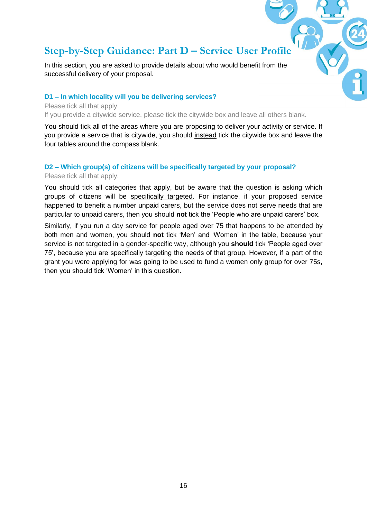# **Step-by-Step Guidance: Part D – Service User Profile**

In this section, you are asked to provide details about who would benefit from the successful delivery of your proposal.

#### **D1 – In which locality will you be delivering services?**

Please tick all that apply.

If you provide a citywide service, please tick the citywide box and leave all others blank.

You should tick all of the areas where you are proposing to deliver your activity or service. If you provide a service that is citywide, you should instead tick the citywide box and leave the four tables around the compass blank.

#### **D2 – Which group(s) of citizens will be specifically targeted by your proposal?**

Please tick all that apply.

You should tick all categories that apply, but be aware that the question is asking which groups of citizens will be specifically targeted. For instance, if your proposed service happened to benefit a number unpaid carers, but the service does not serve needs that are particular to unpaid carers, then you should **not** tick the 'People who are unpaid carers' box.

Similarly, if you run a day service for people aged over 75 that happens to be attended by both men and women, you should **not** tick 'Men' and 'Women' in the table, because your service is not targeted in a gender-specific way, although you **should** tick 'People aged over 75', because you are specifically targeting the needs of that group. However, if a part of the grant you were applying for was going to be used to fund a women only group for over 75s, then you should tick 'Women' in this question.